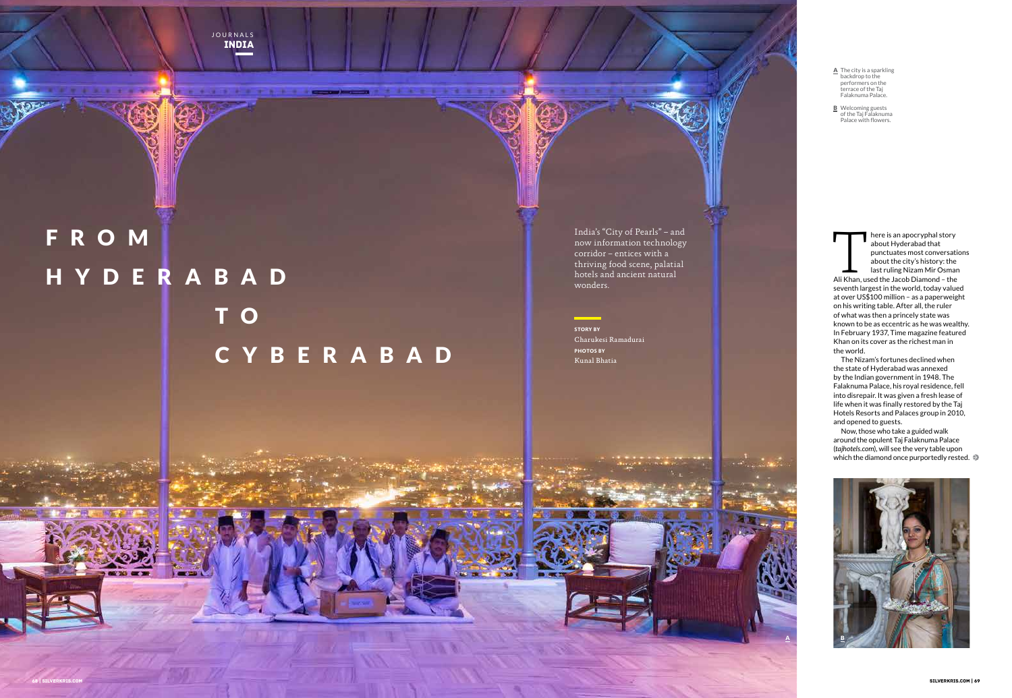- A The city is a sparkling backdrop to the performers on the terrace of the Taj Falaknuma Palace.
- **B** Welcoming guests<br>of the Taj Falaknuma Palace with flowers.

journals india

**STATE OF PERSONAL PROPERTY** 

# F R O M HYDERABAD T O to c y b e r aba d

India's "City of Pearls" – and now information technology corridor – entices with a thriving food scene, palatial hotels and ancient natural wonders.

**STORY BY**  Charukesi Ramadurai **photos BY**  Kunal Bhatia

There is an apocryphal story<br>
about Hyderabad that<br>
punctuates most conversation<br>
about the city's history: the<br>
last ruling Nizam Mir Osman<br>
Ali Khan, used the Jacob Diamond – the about Hyderabad that punctuates most conversations about the city's history: the last ruling Nizam Mir Osman seventh largest in the world, today valued at over US\$100 million – as a paperweight on his writing table. After all, the ruler of what was then a princely state was known to be as eccentric as he was wealthy. In February 1937, Time magazine featured Khan on its cover as the richest man in the world.

Now, those who take a guided walk around the opulent Taj Falaknuma Palace (*tajhotels.com*), will see the very table upon which the diamond once purportedly rested.

The Nizam's fortunes declined when the state of Hyderabad was annexed by the Indian government in 1948. The Falaknuma Palace, his royal residence, fell into disrepair. It was given a fresh lease of life when it was finally restored by the Taj Hotels Resorts and Palaces group in 2010, and opened to guests.

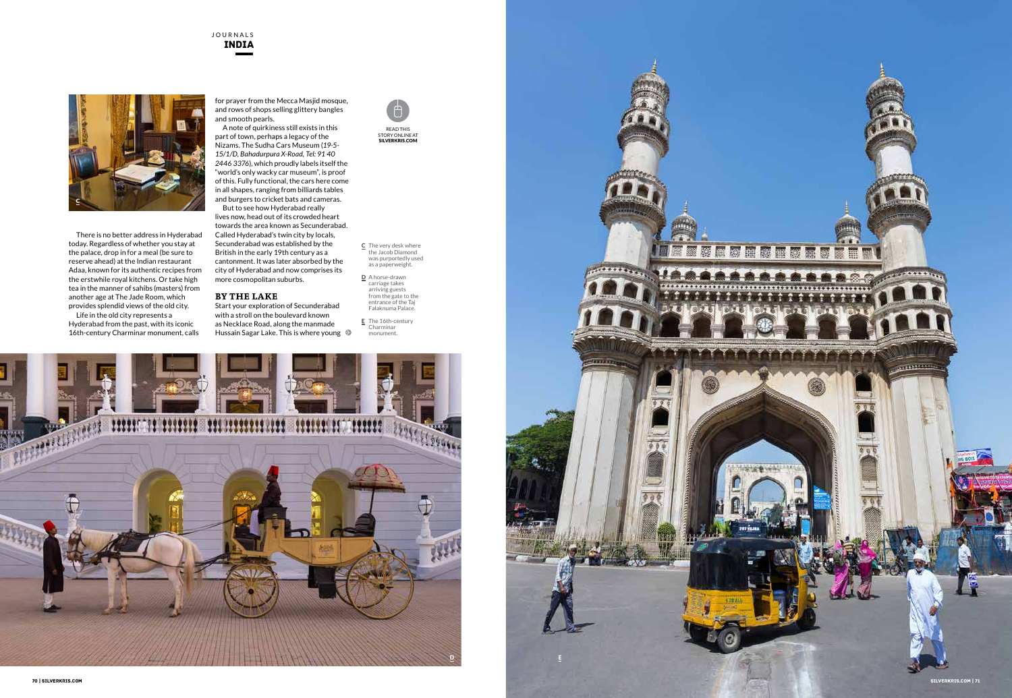C The very desk where the Jacob Diamond was purportedly used

READ THIS<br>STORY ONLINE AT<br>**SILVERKRIS.COM** 

journals india



E The 16th-century Charminar monument.

as a paperweight. D A horse-drawn carriage takes arriving guests from the gate to the entrance of the Taj

Falaknuma Palace.



There is no better address in Hyderabad today. Regardless of whether you stay at the palace, drop in for a meal (be sure to reserve ahead) at the Indian restaurant Adaa, known for its authentic recipes from the erstwhile royal kitchens. Or take high tea in the manner of sahibs (masters) from another age at The Jade Room, which provides splendid views of the old city. Life in the old city represents a

Hyderabad from the past, with its iconic 16th-century Charminar monument, calls Start your exploration of Secunderabad with a stroll on the boulevard known as Necklace Road, along the manmade Hussain Sagar Lake. This is where young  $\clubsuit$ 

for prayer from the Mecca Masjid mosque, and rows of shops selling glittery bangles and smooth pearls.

A note of quirkiness still exists in this part of town, perhaps a legacy of the Nizams. The Sudha Cars Museum (*19-5- 15/1/D, Bahadurpura X-Road, Tel: 91 40 2446 3376*), which proudly labels itself the "world's only wacky car museum", is proof of this. Fully functional, the cars here come in all shapes, ranging from billiards tables and burgers to cricket bats and cameras.

But to see how Hyderabad really lives now, head out of its crowded heart towards the area known as Secunderabad. Called Hyderabad's twin city by locals, Secunderabad was established by the British in the early 19th century as a cantonment. It was later absorbed by the city of Hyderabad and now comprises its more cosmopolitan suburbs.

## **BY THE LAKE**

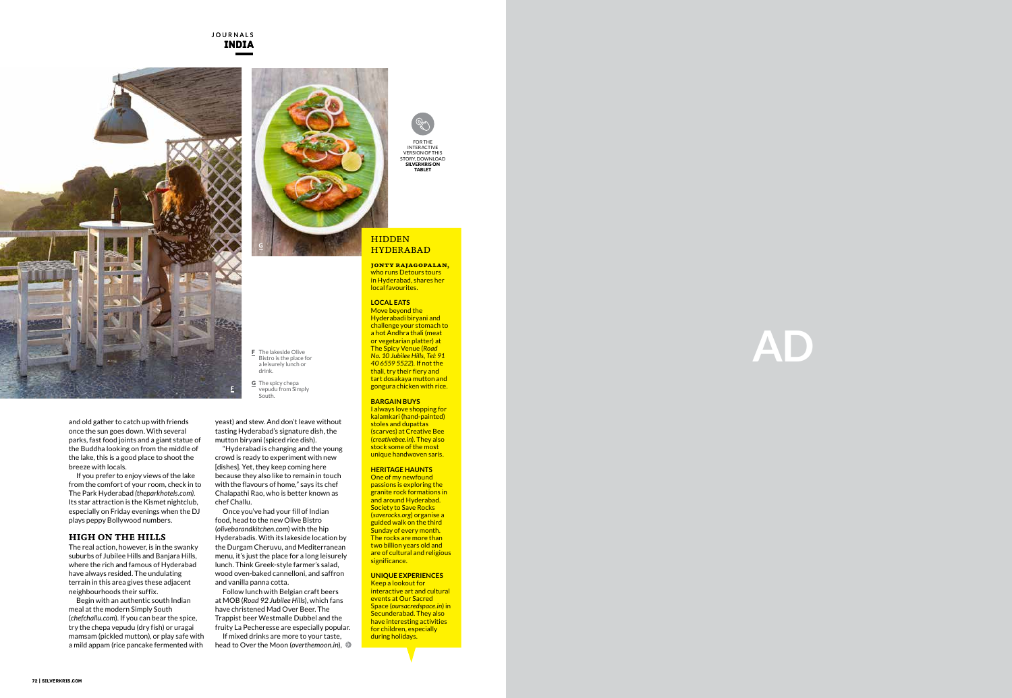journals india

yeast) and stew. And don't leave without tasting Hyderabad's signature dish, the mutton biryani (spiced rice dish).

"Hyderabad is changing and the young crowd is ready to experiment with new [dishes]. Yet, they keep coming here because they also like to remain in touch with the flavours of home," says its chef Chalapathi Rao, who is better known as

chef Challu.

Once you've had your fill of Indian food, head to the new Olive Bistro (*olivebarandkitchen.com*) with the hip Hyderabadis. With its lakeside location by the Durgam Cheruvu, and Mediterranean menu, it's just the place for a long leisurely lunch. Think Greek-style farmer's salad, wood oven-baked cannelloni, and saffron

and vanilla panna cotta.

Follow lunch with Belgian craft beers at M OB (*Road 92 Jubilee Hills*), which fans have christened Mad Over Beer. The Trappist beer Westmalle Dubbel and the fruity La Pecheresse are especially popular. If mixed drinks are more to your taste, head to Over the Moon (*overthemoon.in*),

**HIDDEN** HYDERABAD

and old gather to catch up with friends once the sun goes down. With several parks, fast food joints and a giant statue of the Buddha looking on from the middle of the lake, this is a good place to shoot the breeze with locals.

**LOCAL EATS** Move beyond the Hyderabadi biryani and challenge your stomach to

Final properties the contract that<br>
a hot Andhra thali (meat<br>
olive<br>
Olive<br>
The Spicy Venue (*Road*<br>
No. 10 Jubilee Hills, Tel: 91<br>
40 6559 5522). If not the a hot Andhra thali (meat or vegetarian platter) at The Spicy Venue (*Road No. 10 Jubilee Hills, Tel: 91 40 6559 5522*). If not the thali, try their fiery and tart dosakaya mutton and gongura chicken with rice.

If you prefer to enjoy views of the lake from the comfort of your room, check in to The Park Hyderabad *(theparkhotels.com)*. Its star attraction is the Kismet nightclub, especially on Friday evenings when the D J plays peppy Bollywood numbers.

One of my newfound passions is exploring the granite rock formations in<br>and around Hyderabad. Society to Save Rocks<br>(*saverocks.org*) organise a<br>guided walk on the third Sunday of every month. The rocks are more than two billion years old and are of cultural and religious significance.

# **HIGH ON THE HILLS**

The real action, however, is in the swanky suburbs of Jubilee Hills and Banjara Hills, where the rich and famous of Hyderabad have always resided. The undulating terrain in this area gives these adjacent neighbourhoods their suffix.

Begin with an authentic south Indian meal at the modern Simply South (*chefchallu.com*). If you can bear the spice, try the chepa vepudu (dry fish) or uragai mamsam (pickled mutton), or play safe with a mild appam (rice pancake fermented with



Bistro is the place for a leisurely lunch or



drink.

vepudu from Simply South.

For the i n teractive VERSION OF THIS<br>STORY, DOWNLOAD SILVERKRIS ON<br>TABLET s t

**jonty rajagopalan,**  who runs Detours tours in Hyderabad, shares her local favourites.

#### **BARGAIN BUYS**

I always love shopping for kalamkari (hand-painted) stoles and dupattas (scarves) at Creative Bee (*creativebee.in*). They also stock some of the most unique handwoven saris.

#### **HERITAGE HAUNTS**

#### **UNIQUE EXPERIENCES**

Keep a lookout for interactive art and cultural events at Our Sacred Space (oursacredspace.in) in<br>Secunderabad. They also have interesting activities for children, especially during holidays.